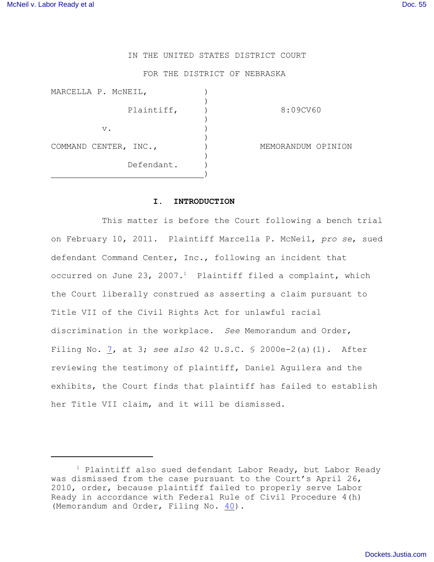# IN THE UNITED STATES DISTRICT COURT

### FOR THE DISTRICT OF NEBRASKA

| 8:09CV60           |
|--------------------|
|                    |
| MEMORANDUM OPINION |
|                    |
|                    |

### **I. INTRODUCTION**

This matter is before the Court following a bench trial on February 10, 2011. Plaintiff Marcella P. McNeil, *pro se*, sued defendant Command Center, Inc., following an incident that occurred on June 23, 2007.<sup>1</sup> Plaintiff filed a complaint, which the Court liberally construed as asserting a claim pursuant to Title VII of the Civil Rights Act for unlawful racial discrimination in the workplace. *See* Memorandum and Order, Filing No. [7](http://ecf.ned.uscourts.gov/doc1/11301705604), at 3; *see also* 42 U.S.C. § 2000e-2(a)(1). After reviewing the testimony of plaintiff, Daniel Aguilera and the exhibits, the Court finds that plaintiff has failed to establish her Title VII claim, and it will be dismissed.

 $1$  Plaintiff also sued defendant Labor Ready, but Labor Ready was dismissed from the case pursuant to the Court's April 26, 2010, order, because plaintiff failed to properly serve Labor Ready in accordance with Federal Rule of Civil Procedure 4(h) (Memorandum and Order, Filing No. [40](http://ecf.ned.uscourts.gov/doc1/11302002664)).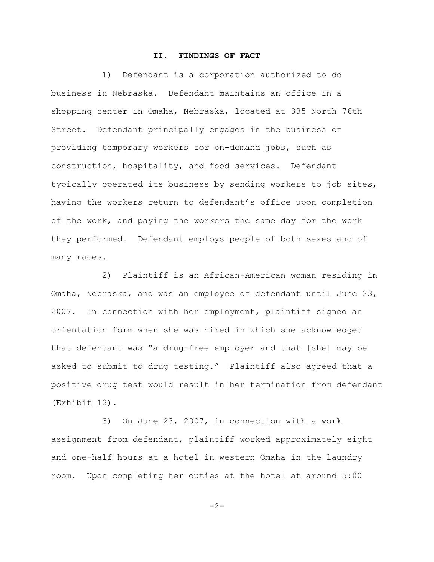## **II. FINDINGS OF FACT**

1) Defendant is a corporation authorized to do business in Nebraska. Defendant maintains an office in a shopping center in Omaha, Nebraska, located at 335 North 76th Street. Defendant principally engages in the business of providing temporary workers for on-demand jobs, such as construction, hospitality, and food services. Defendant typically operated its business by sending workers to job sites, having the workers return to defendant's office upon completion of the work, and paying the workers the same day for the work they performed. Defendant employs people of both sexes and of many races.

2) Plaintiff is an African-American woman residing in Omaha, Nebraska, and was an employee of defendant until June 23, 2007. In connection with her employment, plaintiff signed an orientation form when she was hired in which she acknowledged that defendant was "a drug-free employer and that [she] may be asked to submit to drug testing." Plaintiff also agreed that a positive drug test would result in her termination from defendant (Exhibit 13).

3) On June 23, 2007, in connection with a work assignment from defendant, plaintiff worked approximately eight and one-half hours at a hotel in western Omaha in the laundry room. Upon completing her duties at the hotel at around 5:00

-2-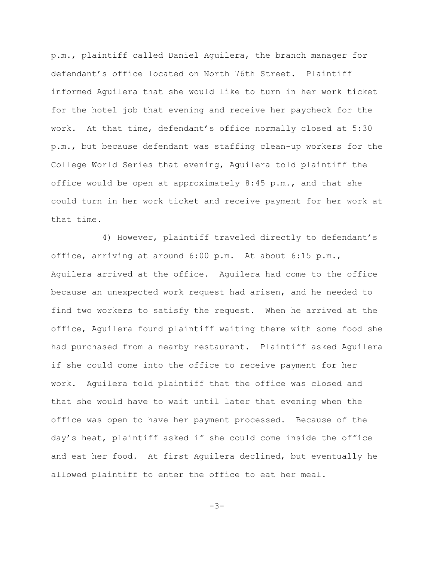p.m., plaintiff called Daniel Aguilera, the branch manager for defendant's office located on North 76th Street. Plaintiff informed Aguilera that she would like to turn in her work ticket for the hotel job that evening and receive her paycheck for the work. At that time, defendant's office normally closed at 5:30 p.m., but because defendant was staffing clean-up workers for the College World Series that evening, Aguilera told plaintiff the office would be open at approximately  $8:45$  p.m., and that she could turn in her work ticket and receive payment for her work at that time.

4) However, plaintiff traveled directly to defendant's office, arriving at around 6:00 p.m. At about 6:15 p.m., Aguilera arrived at the office. Aguilera had come to the office because an unexpected work request had arisen, and he needed to find two workers to satisfy the request. When he arrived at the office, Aguilera found plaintiff waiting there with some food she had purchased from a nearby restaurant. Plaintiff asked Aguilera if she could come into the office to receive payment for her work. Aguilera told plaintiff that the office was closed and that she would have to wait until later that evening when the office was open to have her payment processed. Because of the day's heat, plaintiff asked if she could come inside the office and eat her food. At first Aguilera declined, but eventually he allowed plaintiff to enter the office to eat her meal.

 $-3-$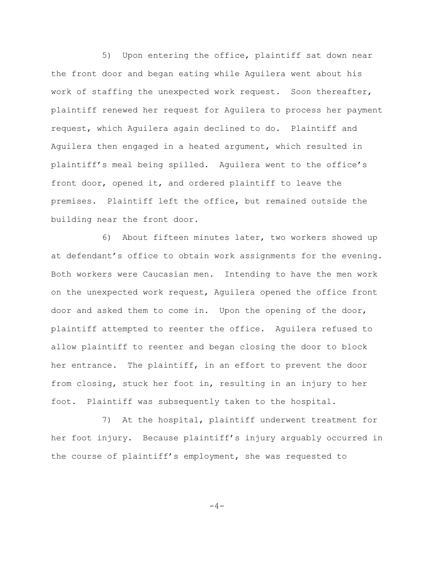5) Upon entering the office, plaintiff sat down near the front door and began eating while Aguilera went about his work of staffing the unexpected work request. Soon thereafter, plaintiff renewed her request for Aguilera to process her payment request, which Aguilera again declined to do. Plaintiff and Aguilera then engaged in a heated argument, which resulted in plaintiff's meal being spilled. Aguilera went to the office's front door, opened it, and ordered plaintiff to leave the premises. Plaintiff left the office, but remained outside the building near the front door.

6) About fifteen minutes later, two workers showed up at defendant's office to obtain work assignments for the evening. Both workers were Caucasian men. Intending to have the men work on the unexpected work request, Aguilera opened the office front door and asked them to come in. Upon the opening of the door, plaintiff attempted to reenter the office. Aguilera refused to allow plaintiff to reenter and began closing the door to block her entrance. The plaintiff, in an effort to prevent the door from closing, stuck her foot in, resulting in an injury to her foot. Plaintiff was subsequently taken to the hospital.

7) At the hospital, plaintiff underwent treatment for her foot injury. Because plaintiff's injury arguably occurred in the course of plaintiff's employment, she was requested to

$$
-\,4\,-
$$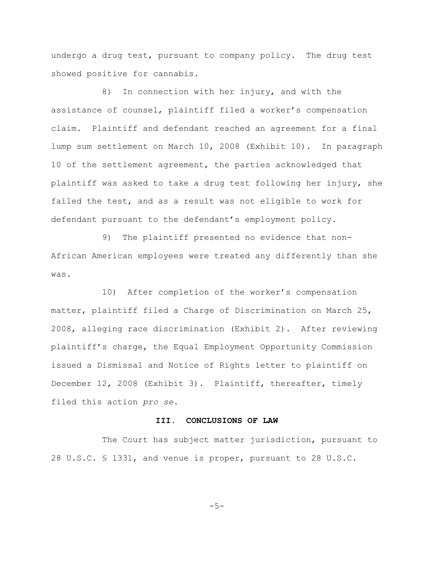undergo a drug test, pursuant to company policy. The drug test showed positive for cannabis.

8) In connection with her injury, and with the assistance of counsel, plaintiff filed a worker's compensation claim. Plaintiff and defendant reached an agreement for a final lump sum settlement on March 10, 2008 (Exhibit 10). In paragraph 10 of the settlement agreement, the parties acknowledged that plaintiff was asked to take a drug test following her injury, she failed the test, and as a result was not eligible to work for defendant pursuant to the defendant's employment policy.

9) The plaintiff presented no evidence that non-African American employees were treated any differently than she was.

10) After completion of the worker's compensation matter, plaintiff filed a Charge of Discrimination on March 25, 2008, alleging race discrimination (Exhibit 2). After reviewing plaintiff's charge, the Equal Employment Opportunity Commission issued a Dismissal and Notice of Rights letter to plaintiff on December 12, 2008 (Exhibit 3). Plaintiff, thereafter, timely filed this action *pro se*.

## **III. CONCLUSIONS OF LAW**

The Court has subject matter jurisdiction, pursuant to 28 U.S.C. § 1331, and venue is proper, pursuant to 28 U.S.C.

 $-5-$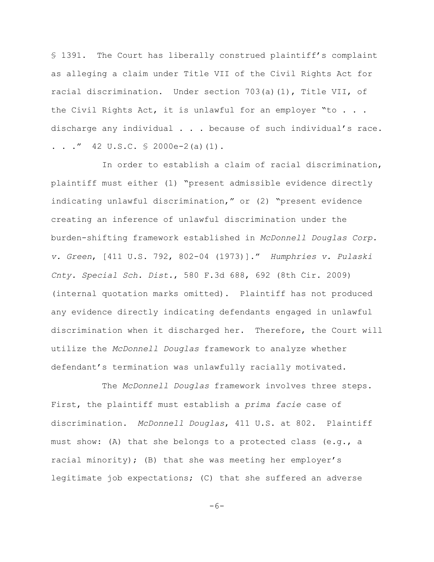§ 1391. The Court has liberally construed plaintiff's complaint as alleging a claim under Title VII of the Civil Rights Act for racial discrimination. Under section 703(a)(1), Title VII, of the Civil Rights Act, it is unlawful for an employer "to . . . discharge any individual . . . because of such individual's race. . . ."  $42 \text{ U.S.C. }$  \$ 2000e-2(a)(1).

In order to establish a claim of racial discrimination, plaintiff must either (1) "present admissible evidence directly indicating unlawful discrimination," or (2) "present evidence creating an inference of unlawful discrimination under the burden-shifting framework established in *McDonnell Douglas Corp. v. Green*, [411 U.S. 792, 802-04 (1973)]." *Humphries v. Pulaski Cnty. Special Sch. Dist.*, 580 F.3d 688, 692 (8th Cir. 2009) (internal quotation marks omitted). Plaintiff has not produced any evidence directly indicating defendants engaged in unlawful discrimination when it discharged her. Therefore, the Court will utilize the *McDonnell Douglas* framework to analyze whether defendant's termination was unlawfully racially motivated.

The *McDonnell Douglas* framework involves three steps. First, the plaintiff must establish a *prima facie* case of discrimination. *McDonnell Douglas*, 411 U.S. at 802. Plaintiff must show: (A) that she belongs to a protected class (e.g., a racial minority); (B) that she was meeting her employer's legitimate job expectations; (C) that she suffered an adverse

-6-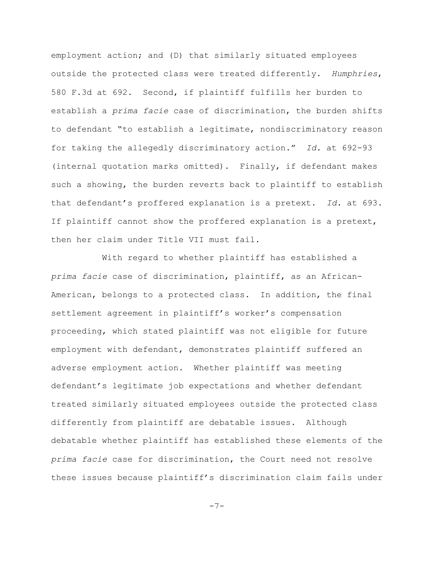employment action; and (D) that similarly situated employees outside the protected class were treated differently. *Humphries*, 580 F.3d at 692. Second, if plaintiff fulfills her burden to establish a *prima facie* case of discrimination, the burden shifts to defendant "to establish a legitimate, nondiscriminatory reason for taking the allegedly discriminatory action." *Id.* at 692-93 (internal quotation marks omitted). Finally, if defendant makes such a showing, the burden reverts back to plaintiff to establish that defendant's proffered explanation is a pretext. *Id.* at 693. If plaintiff cannot show the proffered explanation is a pretext, then her claim under Title VII must fail.

With regard to whether plaintiff has established a *prima facie* case of discrimination, plaintiff, as an African-American, belongs to a protected class. In addition, the final settlement agreement in plaintiff's worker's compensation proceeding, which stated plaintiff was not eligible for future employment with defendant, demonstrates plaintiff suffered an adverse employment action. Whether plaintiff was meeting defendant's legitimate job expectations and whether defendant treated similarly situated employees outside the protected class differently from plaintiff are debatable issues. Although debatable whether plaintiff has established these elements of the *prima facie* case for discrimination, the Court need not resolve these issues because plaintiff's discrimination claim fails under

-7-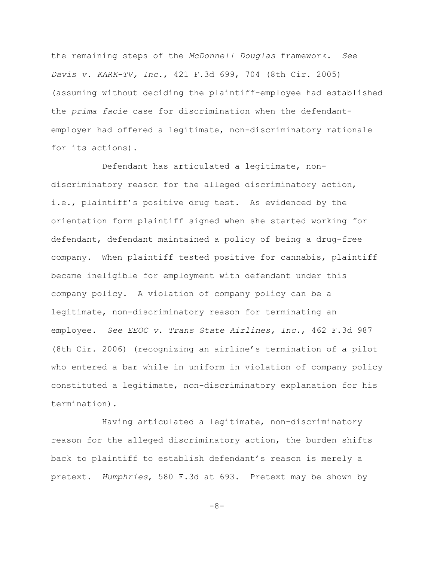the remaining steps of the *McDonnell Douglas* framework. *See Davis v. KARK-TV, Inc.*, 421 F.3d 699, 704 (8th Cir. 2005) (assuming without deciding the plaintiff-employee had established the *prima facie* case for discrimination when the defendantemployer had offered a legitimate, non-discriminatory rationale for its actions).

Defendant has articulated a legitimate, nondiscriminatory reason for the alleged discriminatory action, i.e., plaintiff's positive drug test. As evidenced by the orientation form plaintiff signed when she started working for defendant, defendant maintained a policy of being a drug-free company. When plaintiff tested positive for cannabis, plaintiff became ineligible for employment with defendant under this company policy. A violation of company policy can be a legitimate, non-discriminatory reason for terminating an employee. *See EEOC v. Trans State Airlines, Inc.*, 462 F.3d 987 (8th Cir. 2006) (recognizing an airline's termination of a pilot who entered a bar while in uniform in violation of company policy constituted a legitimate, non-discriminatory explanation for his termination).

Having articulated a legitimate, non-discriminatory reason for the alleged discriminatory action, the burden shifts back to plaintiff to establish defendant's reason is merely a pretext. *Humphries*, 580 F.3d at 693. Pretext may be shown by

-8-